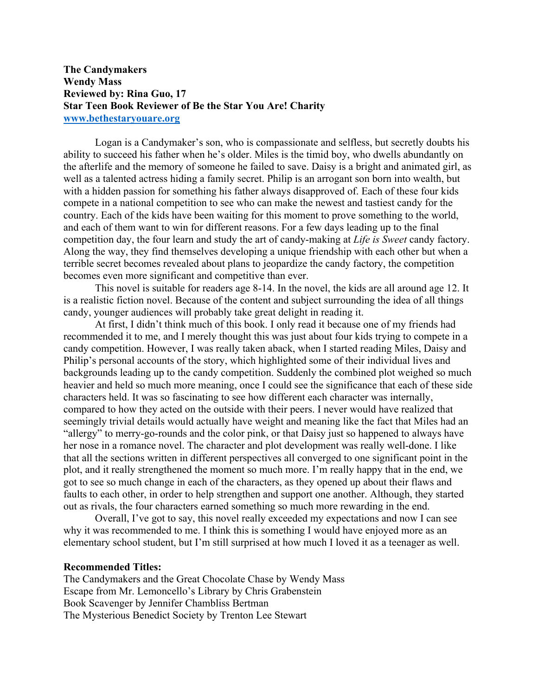## **The Candymakers Wendy Mass Reviewed by: Rina Guo, 17 Star Teen Book Reviewer of Be the Star You Are! Charity www.bethestaryouare.org**

Logan is a Candymaker's son, who is compassionate and selfless, but secretly doubts his ability to succeed his father when he's older. Miles is the timid boy, who dwells abundantly on the afterlife and the memory of someone he failed to save. Daisy is a bright and animated girl, as well as a talented actress hiding a family secret. Philip is an arrogant son born into wealth, but with a hidden passion for something his father always disapproved of. Each of these four kids compete in a national competition to see who can make the newest and tastiest candy for the country. Each of the kids have been waiting for this moment to prove something to the world, and each of them want to win for different reasons. For a few days leading up to the final competition day, the four learn and study the art of candy-making at *Life is Sweet* candy factory. Along the way, they find themselves developing a unique friendship with each other but when a terrible secret becomes revealed about plans to jeopardize the candy factory, the competition becomes even more significant and competitive than ever.

This novel is suitable for readers age 8-14. In the novel, the kids are all around age 12. It is a realistic fiction novel. Because of the content and subject surrounding the idea of all things candy, younger audiences will probably take great delight in reading it.

At first, I didn't think much of this book. I only read it because one of my friends had recommended it to me, and I merely thought this was just about four kids trying to compete in a candy competition. However, I was really taken aback, when I started reading Miles, Daisy and Philip's personal accounts of the story, which highlighted some of their individual lives and backgrounds leading up to the candy competition. Suddenly the combined plot weighed so much heavier and held so much more meaning, once I could see the significance that each of these side characters held. It was so fascinating to see how different each character was internally, compared to how they acted on the outside with their peers. I never would have realized that seemingly trivial details would actually have weight and meaning like the fact that Miles had an "allergy" to merry-go-rounds and the color pink, or that Daisy just so happened to always have her nose in a romance novel. The character and plot development was really well-done. I like that all the sections written in different perspectives all converged to one significant point in the plot, and it really strengthened the moment so much more. I'm really happy that in the end, we got to see so much change in each of the characters, as they opened up about their flaws and faults to each other, in order to help strengthen and support one another. Although, they started out as rivals, the four characters earned something so much more rewarding in the end.

Overall, I've got to say, this novel really exceeded my expectations and now I can see why it was recommended to me. I think this is something I would have enjoyed more as an elementary school student, but I'm still surprised at how much I loved it as a teenager as well.

## **Recommended Titles:**

The Candymakers and the Great Chocolate Chase by Wendy Mass Escape from Mr. Lemoncello's Library by Chris Grabenstein Book Scavenger by Jennifer Chambliss Bertman The Mysterious Benedict Society by Trenton Lee Stewart